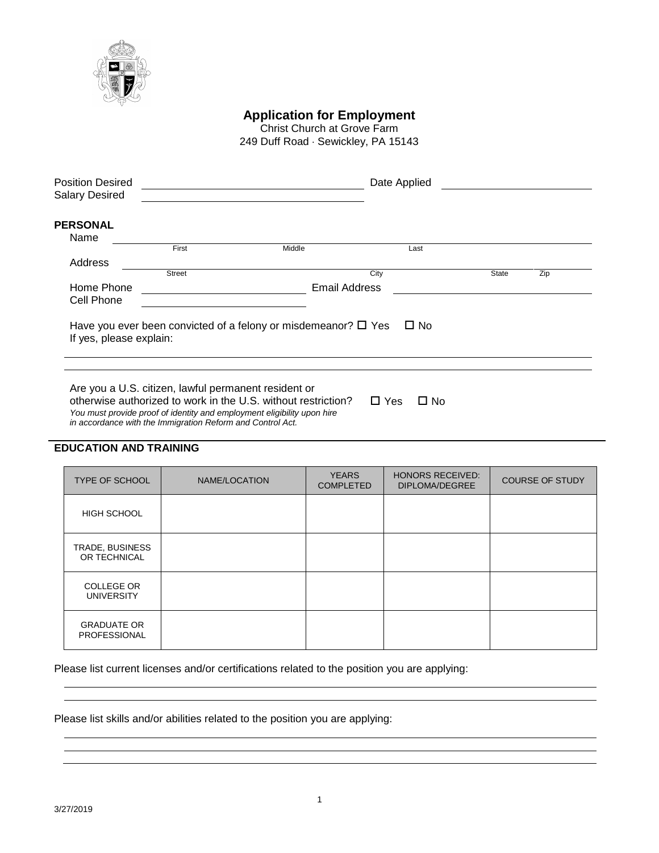

**Application for Employment**

Christ Church at Grove Farm 249 Duff Road · Sewickley, PA 15143

| <b>Position Desired</b><br><b>Salary Desired</b> |               |                                                                        | Date Applied |              |     |
|--------------------------------------------------|---------------|------------------------------------------------------------------------|--------------|--------------|-----|
| <b>PERSONAL</b><br>Name                          |               |                                                                        |              |              |     |
|                                                  | First         | Middle                                                                 | Last         |              |     |
| Address                                          |               |                                                                        |              |              |     |
|                                                  | <b>Street</b> |                                                                        | City         | <b>State</b> | Zip |
| Home Phone                                       |               | <b>Email Address</b>                                                   |              |              |     |
| Cell Phone                                       |               |                                                                        |              |              |     |
| If yes, please explain:                          |               | Have you ever been convicted of a felony or misdemeanor? $\square$ Yes | $\square$ No |              |     |
|                                                  |               |                                                                        |              |              |     |
|                                                  |               |                                                                        |              |              |     |
|                                                  |               |                                                                        |              |              |     |

Are you a U.S. citizen, lawful permanent resident or otherwise authorized to work in the U.S. without restriction?  $\square$  Yes  $\square$  No *You must provide proof of identity and employment eligibility upon hire in accordance with the Immigration Reform and Control Act.*

## **EDUCATION AND TRAINING**

| <b>TYPE OF SCHOOL</b>                  | NAME/LOCATION | <b>YEARS</b><br><b>COMPLETED</b> | <b>HONORS RECEIVED:</b><br><b>DIPLOMA/DEGREE</b> | <b>COURSE OF STUDY</b> |
|----------------------------------------|---------------|----------------------------------|--------------------------------------------------|------------------------|
| <b>HIGH SCHOOL</b>                     |               |                                  |                                                  |                        |
| TRADE, BUSINESS<br>OR TECHNICAL        |               |                                  |                                                  |                        |
| <b>COLLEGE OR</b><br><b>UNIVERSITY</b> |               |                                  |                                                  |                        |
| <b>GRADUATE OR</b><br>PROFESSIONAL     |               |                                  |                                                  |                        |

Please list current licenses and/or certifications related to the position you are applying:

Please list skills and/or abilities related to the position you are applying: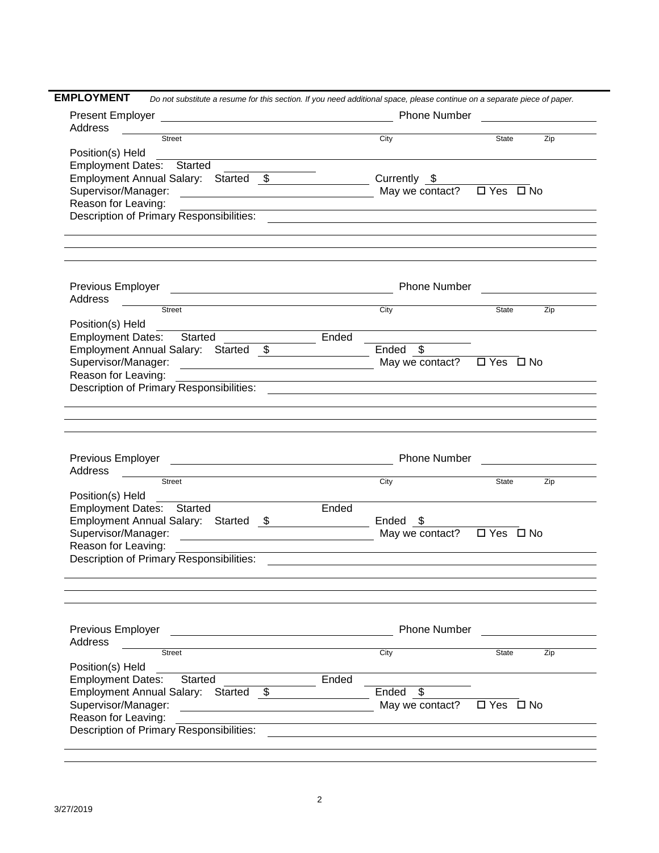|                                                                                                           |                                                             |  |                                                                                                                      | Do not substitute a resume for this section. If you need additional space, please continue on a separate piece of paper. |                      |              |
|-----------------------------------------------------------------------------------------------------------|-------------------------------------------------------------|--|----------------------------------------------------------------------------------------------------------------------|--------------------------------------------------------------------------------------------------------------------------|----------------------|--------------|
|                                                                                                           |                                                             |  | <u> 1989 - Jan Barbara Barat, prima popular popular popular popular popular popular popular popular popular popu</u> |                                                                                                                          |                      |              |
| Address                                                                                                   |                                                             |  |                                                                                                                      |                                                                                                                          |                      |              |
|                                                                                                           | Street                                                      |  |                                                                                                                      | City                                                                                                                     |                      | State<br>Zip |
| Position(s) Held                                                                                          |                                                             |  |                                                                                                                      |                                                                                                                          |                      |              |
|                                                                                                           | Employment Dates: Started                                   |  |                                                                                                                      |                                                                                                                          |                      |              |
|                                                                                                           | Employment Annual Salary: Started \$ Currently \$           |  |                                                                                                                      |                                                                                                                          |                      |              |
| Supervisor/Manager:                                                                                       | <u> 2000 - Andrea Andrew Maria (h. 18</u>                   |  |                                                                                                                      | May we contact?                                                                                                          | □ Yes □ No           |              |
| Reason for Leaving:                                                                                       |                                                             |  |                                                                                                                      | <u> 1989 - Johann Stoff, amerikansk politiker (d. 1989)</u>                                                              |                      |              |
|                                                                                                           |                                                             |  |                                                                                                                      |                                                                                                                          |                      |              |
|                                                                                                           |                                                             |  |                                                                                                                      |                                                                                                                          |                      |              |
| Address                                                                                                   |                                                             |  |                                                                                                                      |                                                                                                                          |                      |              |
|                                                                                                           | <b>Street</b>                                               |  |                                                                                                                      | $\frac{1}{\text{City}}$                                                                                                  |                      | Zip<br>State |
| Position(s) Held                                                                                          |                                                             |  |                                                                                                                      |                                                                                                                          |                      |              |
|                                                                                                           | Employment Dates: Started _______________                   |  | Ended                                                                                                                |                                                                                                                          |                      |              |
|                                                                                                           | Employment Annual Salary: Started \$                        |  |                                                                                                                      | $Ended$ \$                                                                                                               |                      |              |
| Supervisor/Manager:                                                                                       | <u> 1989 - Andrea Barbara, amerikan personal (h. 1989).</u> |  |                                                                                                                      | May we contact? $\Box$ Yes $\Box$ No                                                                                     |                      |              |
| Reason for Leaving:                                                                                       |                                                             |  |                                                                                                                      |                                                                                                                          |                      |              |
|                                                                                                           |                                                             |  |                                                                                                                      |                                                                                                                          |                      |              |
|                                                                                                           |                                                             |  |                                                                                                                      |                                                                                                                          |                      |              |
|                                                                                                           |                                                             |  |                                                                                                                      |                                                                                                                          |                      |              |
|                                                                                                           | Street                                                      |  |                                                                                                                      | City                                                                                                                     | State                | Zip          |
|                                                                                                           |                                                             |  |                                                                                                                      |                                                                                                                          |                      |              |
|                                                                                                           |                                                             |  |                                                                                                                      |                                                                                                                          |                      |              |
|                                                                                                           | Employment Dates: Started                                   |  | Ended                                                                                                                |                                                                                                                          |                      |              |
|                                                                                                           | Employment Annual Salary: Started \$                        |  |                                                                                                                      | Ended \$                                                                                                                 |                      |              |
| Position(s) Held<br>Reason for Leaving:                                                                   |                                                             |  |                                                                                                                      |                                                                                                                          | □ Yes □ No           |              |
|                                                                                                           |                                                             |  |                                                                                                                      |                                                                                                                          |                      |              |
|                                                                                                           |                                                             |  |                                                                                                                      |                                                                                                                          |                      |              |
|                                                                                                           |                                                             |  |                                                                                                                      | <b>Phone Number</b>                                                                                                      |                      |              |
|                                                                                                           | Street                                                      |  |                                                                                                                      | City                                                                                                                     | State                | Zip          |
|                                                                                                           |                                                             |  |                                                                                                                      |                                                                                                                          |                      |              |
|                                                                                                           | Started                                                     |  | Ended                                                                                                                |                                                                                                                          |                      |              |
| <b>Employment Dates:</b>                                                                                  | Employment Annual Salary: Started \$                        |  |                                                                                                                      | Ended \$                                                                                                                 |                      |              |
|                                                                                                           |                                                             |  |                                                                                                                      | May we contact?                                                                                                          | $\Box$ Yes $\Box$ No |              |
| Address<br>Previous Employer<br>Address<br>Position(s) Held<br>Supervisor/Manager:<br>Reason for Leaving: | Description of Primary Responsibilities:                    |  |                                                                                                                      |                                                                                                                          |                      |              |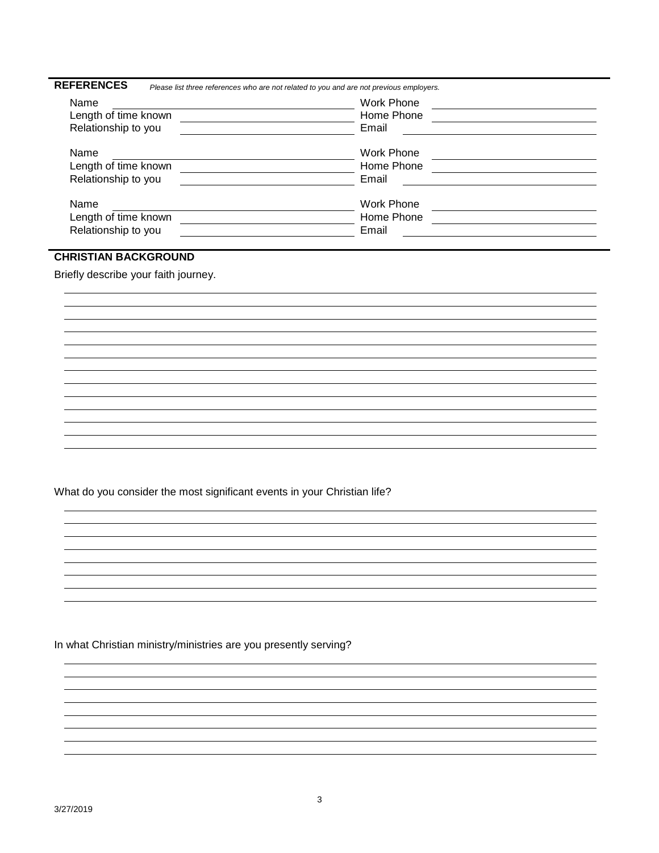| Name                 | Please list three references who are not related to you and are not previous employers.<br><b>Work Phone</b> |  |
|----------------------|--------------------------------------------------------------------------------------------------------------|--|
| Length of time known | Home Phone                                                                                                   |  |
|                      |                                                                                                              |  |
| Relationship to you  | Email                                                                                                        |  |
| Name                 | Work Phone                                                                                                   |  |
| Length of time known | Home Phone                                                                                                   |  |
| Relationship to you  | Email                                                                                                        |  |
| Name                 | Work Phone                                                                                                   |  |
| Length of time known | Home Phone                                                                                                   |  |
| Relationship to you  | Email                                                                                                        |  |

## **CHRISTIAN BACKGROUND**

Briefly describe your faith journey.

What do you consider the most significant events in your Christian life?

In what Christian ministry/ministries are you presently serving?